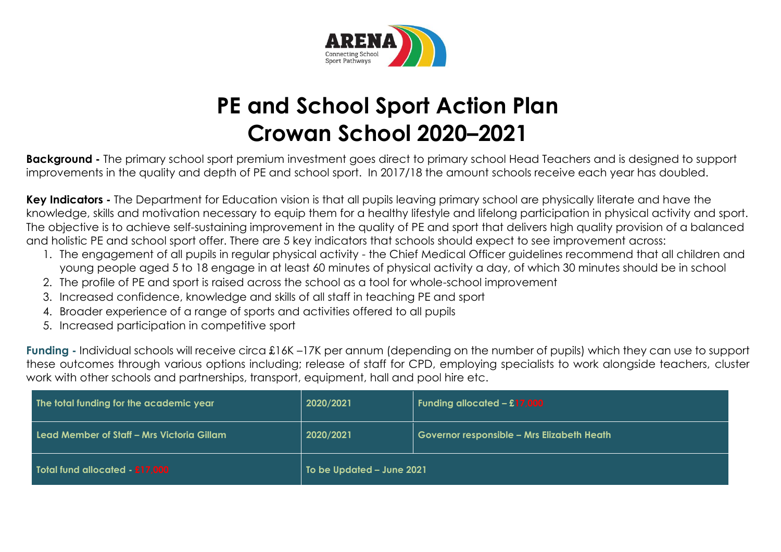

# **PE and School Sport Action Plan Crowan School 2020–2021**

**Background -** The primary school sport premium investment goes direct to primary school Head Teachers and is designed to support improvements in the quality and depth of PE and school sport. In 2017/18 the amount schools receive each year has doubled.

**Key Indicators -** The Department for Education vision is that all pupils leaving primary school are physically literate and have the knowledge, skills and motivation necessary to equip them for a healthy lifestyle and lifelong participation in physical activity and sport. The objective is to achieve self-sustaining improvement in the quality of PE and sport that delivers high quality provision of a balanced and holistic PE and school sport offer. There are 5 key indicators that schools should expect to see improvement across:

- 1. The engagement of all pupils in regular physical activity the Chief Medical Officer guidelines recommend that all children and young people aged 5 to 18 engage in at least 60 minutes of physical activity a day, of which 30 minutes should be in school
- 2. The profile of PE and sport is raised across the school as a tool for whole-school improvement
- 3. Increased confidence, knowledge and skills of all staff in teaching PE and sport
- 4. Broader experience of a range of sports and activities offered to all pupils
- 5. Increased participation in competitive sport

**Funding -** Individual schools will receive circa £16K –17K per annum (depending on the number of pupils) which they can use to support these outcomes through various options including; release of staff for CPD, employing specialists to work alongside teachers, cluster work with other schools and partnerships, transport, equipment, hall and pool hire etc.

| The total funding for the academic year    | 2020/2021                 | Funding allocated - £17,000                |  |
|--------------------------------------------|---------------------------|--------------------------------------------|--|
| Lead Member of Staff – Mrs Victoria Gillam | 2020/2021                 | Governor responsible - Mrs Elizabeth Heath |  |
| Total fund allocated - £17,000             | To be Updated - June 2021 |                                            |  |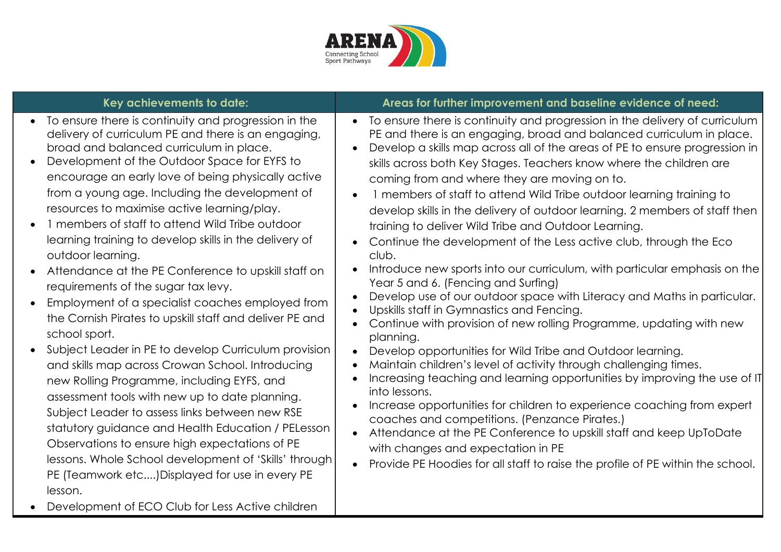

- To ensure there is continuity and progression in the delivery of curriculum PE and there is an engaging, broad and balanced curriculum in place.
- Development of the Outdoor Space for EYFS to encourage an early love of being physically active from a young age. Including the development of resources to maximise active learning/play.
- 1 members of staff to attend Wild Tribe outdoor learning training to develop skills in the delivery of outdoor learning.
- Attendance at the PE Conference to upskill staff on requirements of the sugar tax levy.
- Employment of a specialist coaches employed from the Cornish Pirates to upskill staff and deliver PE and school sport.
- Subject Leader in PE to develop Curriculum provision and skills map across Crowan School. Introducing new Rolling Programme, including EYFS, and assessment tools with new up to date planning. Subject Leader to assess links between new RSE statutory guidance and Health Education / PELesson Observations to ensure high expectations of PE lessons. Whole School development of 'Skills' through PE (Teamwork etc....)Displayed for use in every PE lesson.
- Development of ECO Club for Less Active children

### **Key achievements to date: Areas for further improvement and baseline evidence of need:**

- To ensure there is continuity and progression in the delivery of curriculum PE and there is an engaging, broad and balanced curriculum in place.
- Develop a skills map across all of the areas of PE to ensure progression in skills across both Key Stages. Teachers know where the children are coming from and where they are moving on to.
- 1 members of staff to attend Wild Tribe outdoor learning training to develop skills in the delivery of outdoor learning. 2 members of staff then training to deliver Wild Tribe and Outdoor Learning.
- Continue the development of the Less active club, through the Eco club.
- Introduce new sports into our curriculum, with particular emphasis on the Year 5 and 6. (Fencing and Surfing)
- Develop use of our outdoor space with Literacy and Maths in particular.
- Upskills staff in Gymnastics and Fencing.
- Continue with provision of new rolling Programme, updating with new planning.
- Develop opportunities for Wild Tribe and Outdoor learning.
- Maintain children's level of activity through challenging times.
- Increasing teaching and learning opportunities by improving the use of IT into lessons.
- Increase opportunities for children to experience coaching from expert coaches and competitions. (Penzance Pirates.)
- Attendance at the PE Conference to upskill staff and keep UpToDate with changes and expectation in PE
- Provide PE Hoodies for all staff to raise the profile of PE within the school.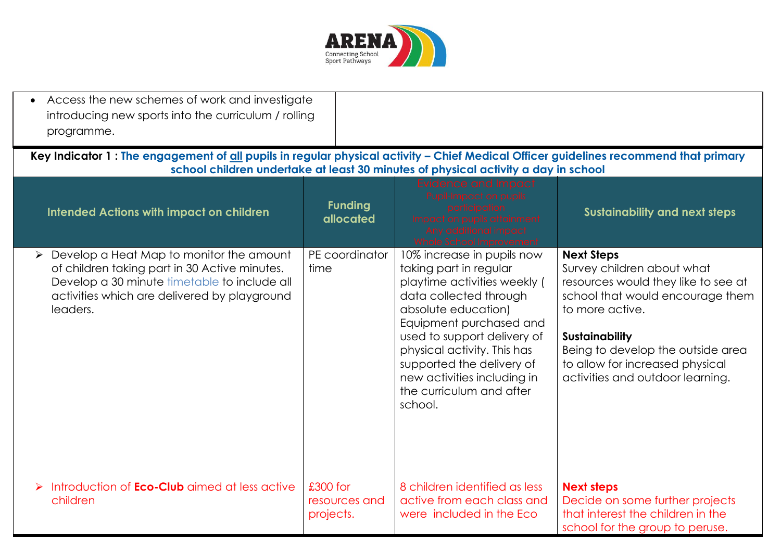

| • Access the new schemes of work and investigate<br>introducing new sports into the curriculum / rolling<br>programme.                                                                                |                                          |                                                                                                                                                                                                                                                                                                                                   |                                                                                                                                                                                                                                                                                    |
|-------------------------------------------------------------------------------------------------------------------------------------------------------------------------------------------------------|------------------------------------------|-----------------------------------------------------------------------------------------------------------------------------------------------------------------------------------------------------------------------------------------------------------------------------------------------------------------------------------|------------------------------------------------------------------------------------------------------------------------------------------------------------------------------------------------------------------------------------------------------------------------------------|
| Key Indicator 1: The engagement of all pupils in regular physical activity - Chief Medical Officer guidelines recommend that primary                                                                  |                                          | school children undertake at least 30 minutes of physical activity a day in school                                                                                                                                                                                                                                                |                                                                                                                                                                                                                                                                                    |
| <b>Intended Actions with impact on children</b>                                                                                                                                                       | <b>Funding</b><br>allocated              | Evidence and Impact<br>Pupil-Impact on pupils<br>oarticipation<br>Impact on pupils attainment<br>Any additional impact<br>Whole School Improvement                                                                                                                                                                                | <b>Sustainability and next steps</b>                                                                                                                                                                                                                                               |
| Develop a Heat Map to monitor the amount<br>of children taking part in 30 Active minutes.<br>Develop a 30 minute timetable to include all<br>activities which are delivered by playground<br>leaders. | PE coordinator<br>time                   | 10% increase in pupils now<br>taking part in regular<br>playtime activities weekly (<br>data collected through<br>absolute education)<br>Equipment purchased and<br>used to support delivery of<br>physical activity. This has<br>supported the delivery of<br>new activities including in<br>the curriculum and after<br>school. | <b>Next Steps</b><br>Survey children about what<br>resources would they like to see at<br>school that would encourage them<br>to more active.<br><b>Sustainability</b><br>Being to develop the outside area<br>to allow for increased physical<br>activities and outdoor learning. |
| Introduction of <b>Eco-Club</b> aimed at less active<br>children                                                                                                                                      | $£300$ for<br>resources and<br>projects. | 8 children identified as less<br>active from each class and<br>were included in the Eco                                                                                                                                                                                                                                           | <b>Next steps</b><br>Decide on some further projects<br>that interest the children in the<br>school for the group to peruse.                                                                                                                                                       |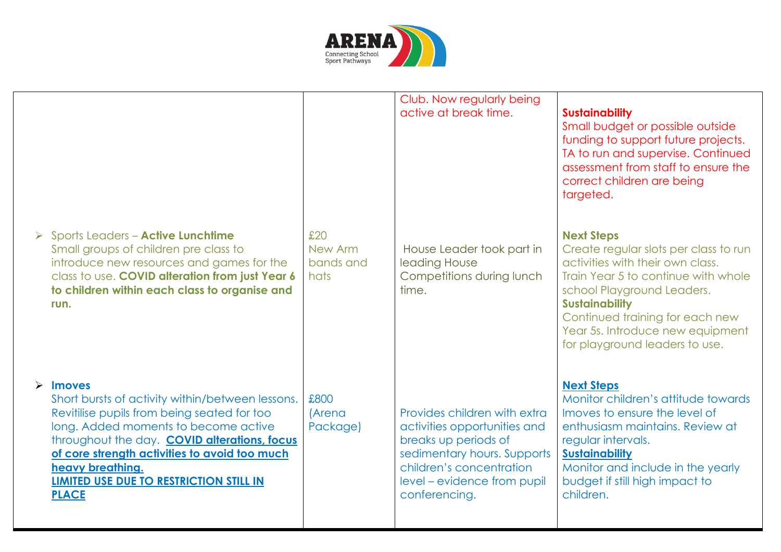

|                                                                                                                                                                                                                                                                                                                                                    |                                         | Club. Now regularly being<br>active at break time.                                                                                                                                              | <b>Sustainability</b><br>Small budget or possible outside<br>funding to support future projects.<br>TA to run and supervise. Continued<br>assessment from staff to ensure the<br>correct children are being<br>targeted.                                                                              |
|----------------------------------------------------------------------------------------------------------------------------------------------------------------------------------------------------------------------------------------------------------------------------------------------------------------------------------------------------|-----------------------------------------|-------------------------------------------------------------------------------------------------------------------------------------------------------------------------------------------------|-------------------------------------------------------------------------------------------------------------------------------------------------------------------------------------------------------------------------------------------------------------------------------------------------------|
| > Sports Leaders - Active Lunchtime<br>Small groups of children pre class to<br>introduce new resources and games for the<br>class to use. COVID alteration from just Year 6<br>to children within each class to organise and<br>run.                                                                                                              | £20<br>New Arm<br>bands and<br>hats     | House Leader took part in<br>leading House<br>Competitions during lunch<br>time.                                                                                                                | <b>Next Steps</b><br>Create regular slots per class to run<br>activities with their own class.<br>Train Year 5 to continue with whole<br>school Playground Leaders.<br><b>Sustainability</b><br>Continued training for each new<br>Year 5s. Introduce new equipment<br>for playground leaders to use. |
| $\triangleright$ Imoves<br>Short bursts of activity within/between lessons.<br>Revitilise pupils from being seated for too<br>long. Added moments to become active<br>throughout the day. COVID alterations, focus<br>of core strength activities to avoid too much<br>heavy breathing.<br>LIMITED USE DUE TO RESTRICTION STILL IN<br><b>PLACE</b> | £800<br><i><b>Arena</b></i><br>Package) | Provides children with extra<br>activities opportunities and<br>breaks up periods of<br>sedimentary hours. Supports<br>children's concentration<br>level – evidence from pupil<br>conferencing. | <b>Next Steps</b><br>Monitor children's attitude towards<br>Imoves to ensure the level of<br>enthusiasm maintains. Review at<br>regular intervals.<br><b>Sustainability</b><br>Monitor and include in the yearly<br>budget if still high impact to<br>children.                                       |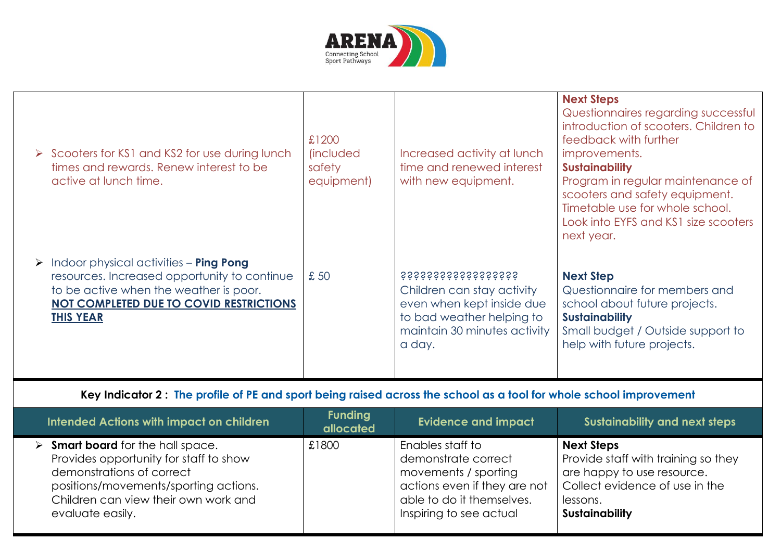

| $\triangleright$ Scooters for KS1 and KS2 for use during lunch<br>times and rewards. Renew interest to be<br>active at lunch time. | £1200<br><i>lincluded</i><br>safety<br>equipment) | Increased activity at lunch<br>time and renewed interest<br>with new equipment. | <b>Next Steps</b><br>Questionnaires regarding successful<br>introduction of scooters. Children to<br>feedback with further<br>improvements.<br><b>Sustainability</b><br>Program in regular maintenance of<br>scooters and safety equipment.<br>Timetable use for whole school.<br>Look into EYFS and KS1 size scooters<br>next year. |
|------------------------------------------------------------------------------------------------------------------------------------|---------------------------------------------------|---------------------------------------------------------------------------------|--------------------------------------------------------------------------------------------------------------------------------------------------------------------------------------------------------------------------------------------------------------------------------------------------------------------------------------|
| Indoor physical activities - <b>Ping Pong</b>                                                                                      | £ 50                                              | <i><b>SSSSSSSSSSSSSSSSS</b></i>                                                 | <b>Next Step</b>                                                                                                                                                                                                                                                                                                                     |
| ➤                                                                                                                                  |                                                   | Children can stay activity                                                      | Questionnaire for members and                                                                                                                                                                                                                                                                                                        |
| resources. Increased opportunity to continue                                                                                       |                                                   | even when kept inside due                                                       | school about future projects.                                                                                                                                                                                                                                                                                                        |
| to be active when the weather is poor.                                                                                             |                                                   | to bad weather helping to                                                       | <b>Sustainability</b>                                                                                                                                                                                                                                                                                                                |
| <b>NOT COMPLETED DUE TO COVID RESTRICTIONS</b>                                                                                     |                                                   | maintain 30 minutes activity                                                    | Small budget / Outside support to                                                                                                                                                                                                                                                                                                    |
| <b>THIS YEAR</b>                                                                                                                   |                                                   | a day.                                                                          | help with future projects.                                                                                                                                                                                                                                                                                                           |

## **Key Indicator 2 : The profile of PE and sport being raised across the school as a tool for whole school improvement**

| <b>Intended Actions with impact on children</b>                                                                                                                                                                                     | <b>Funding</b><br>allocated | <b>Evidence and impact</b>                                                                                                                              | Sustainability and next steps                                                                                                                                 |
|-------------------------------------------------------------------------------------------------------------------------------------------------------------------------------------------------------------------------------------|-----------------------------|---------------------------------------------------------------------------------------------------------------------------------------------------------|---------------------------------------------------------------------------------------------------------------------------------------------------------------|
| $\triangleright$ <b>Smart board</b> for the hall space.<br>Provides opportunity for staff to show<br>demonstrations of correct<br>positions/movements/sporting actions.<br>Children can view their own work and<br>evaluate easily. | £1800                       | Enables staff to<br>demonstrate correct<br>movements / sporting<br>actions even if they are not<br>able to do it themselves.<br>Inspiring to see actual | <b>Next Steps</b><br>Provide staff with training so they<br>are happy to use resource.<br>Collect evidence of use in the<br>lessons.<br><b>Sustainability</b> |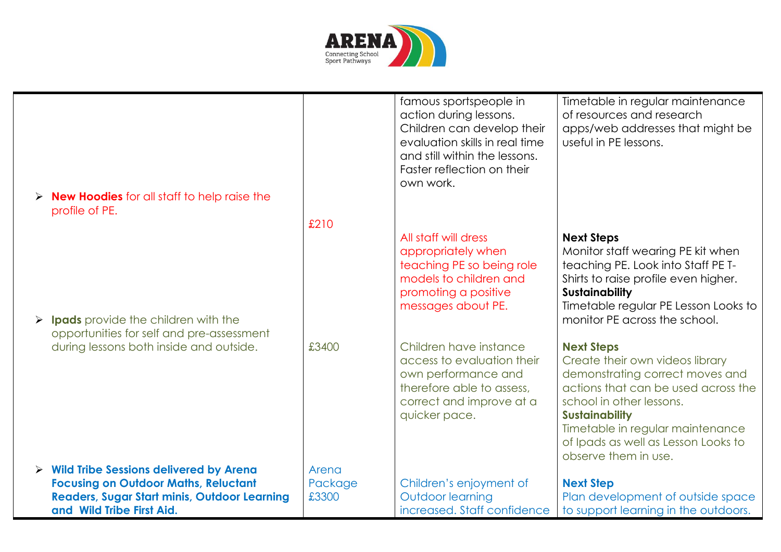

| $\triangleright$ <b>New Hoodies</b> for all staff to help raise the<br>profile of PE. |         | famous sportspeople in<br>action during lessons.<br>Children can develop their<br>evaluation skills in real time<br>and still within the lessons.<br>Faster reflection on their<br>own work. | Timetable in regular maintenance<br>of resources and research<br>apps/web addresses that might be<br>useful in PE lessons.                                                                                                                                                             |
|---------------------------------------------------------------------------------------|---------|----------------------------------------------------------------------------------------------------------------------------------------------------------------------------------------------|----------------------------------------------------------------------------------------------------------------------------------------------------------------------------------------------------------------------------------------------------------------------------------------|
| $\triangleright$ Ipads provide the children with the                                  | £210    | All staff will dress<br>appropriately when<br>teaching PE so being role<br>models to children and<br>promoting a positive<br>messages about PE.                                              | <b>Next Steps</b><br>Monitor staff wearing PE kit when<br>teaching PE. Look into Staff PE T-<br>Shirts to raise profile even higher.<br><b>Sustainability</b><br>Timetable regular PE Lesson Looks to<br>monitor PE across the school.                                                 |
| opportunities for self and pre-assessment<br>during lessons both inside and outside.  | £3400   | Children have instance<br>access to evaluation their<br>own performance and<br>therefore able to assess,<br>correct and improve at a<br>quicker pace.                                        | <b>Next Steps</b><br>Create their own videos library<br>demonstrating correct moves and<br>actions that can be used across the<br>school in other lessons.<br><b>Sustainability</b><br>Timetable in regular maintenance<br>of Ipads as well as Lesson Looks to<br>observe them in use. |
| $\triangleright$ Wild Tribe Sessions delivered by Arena                               | Arena   |                                                                                                                                                                                              |                                                                                                                                                                                                                                                                                        |
| <b>Focusing on Outdoor Maths, Reluctant</b>                                           | Package | Children's enjoyment of                                                                                                                                                                      | <b>Next Step</b>                                                                                                                                                                                                                                                                       |
| <b>Readers, Sugar Start minis, Outdoor Learning</b>                                   | £3300   | Outdoor learning                                                                                                                                                                             | Plan development of outside space                                                                                                                                                                                                                                                      |
| and Wild Tribe First Aid.                                                             |         | increased. Staff confidence                                                                                                                                                                  | to support learning in the outdoors.                                                                                                                                                                                                                                                   |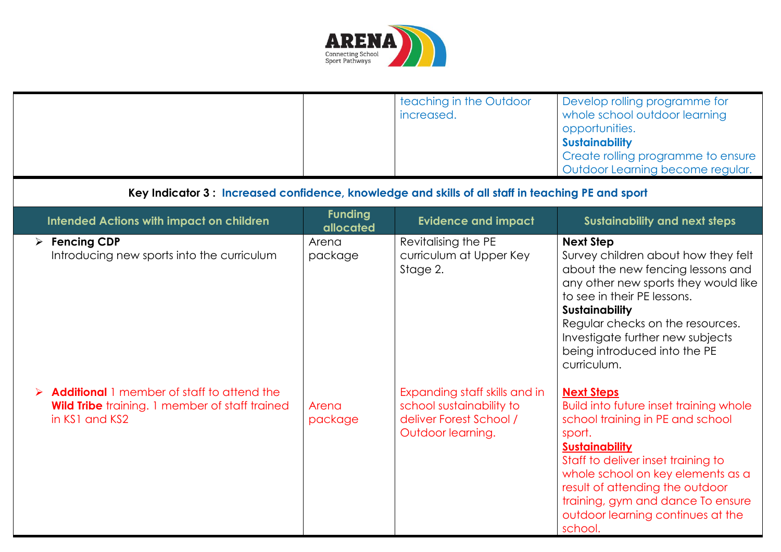

|                                                                                                                       |                             | teaching in the Outdoor<br>increased.                                                                     | Develop rolling programme for<br>whole school outdoor learning<br>opportunities.<br><b>Sustainability</b><br>Create rolling programme to ensure<br>Outdoor Learning become regular.                                                                                                                                                   |
|-----------------------------------------------------------------------------------------------------------------------|-----------------------------|-----------------------------------------------------------------------------------------------------------|---------------------------------------------------------------------------------------------------------------------------------------------------------------------------------------------------------------------------------------------------------------------------------------------------------------------------------------|
| Key Indicator 3: Increased confidence, knowledge and skills of all staff in teaching PE and sport                     |                             |                                                                                                           |                                                                                                                                                                                                                                                                                                                                       |
| <b>Intended Actions with impact on children</b>                                                                       | <b>Funding</b><br>allocated | <b>Evidence and impact</b>                                                                                | <b>Sustainability and next steps</b>                                                                                                                                                                                                                                                                                                  |
| $\triangleright$ Fencing CDP<br>Introducing new sports into the curriculum                                            | Arena<br>package            | Revitalising the PE<br>curriculum at Upper Key<br>Stage 2.                                                | <b>Next Step</b><br>Survey children about how they felt<br>about the new fencing lessons and<br>any other new sports they would like<br>to see in their PE lessons.<br><b>Sustainability</b><br>Regular checks on the resources.<br>Investigate further new subjects<br>being introduced into the PE<br>curriculum.                   |
| Additional 1 member of staff to attend the<br><b>Wild Tribe</b> training. 1 member of staff trained<br>in KS1 and KS2 | Arena<br>package            | Expanding staff skills and in<br>school sustainability to<br>deliver Forest School /<br>Outdoor learning. | <b>Next Steps</b><br>Build into future inset training whole<br>school training in PE and school<br>sport.<br><b>Sustainability</b><br>Staff to deliver inset training to<br>whole school on key elements as a<br>result of attending the outdoor<br>training, gym and dance To ensure<br>outdoor learning continues at the<br>school. |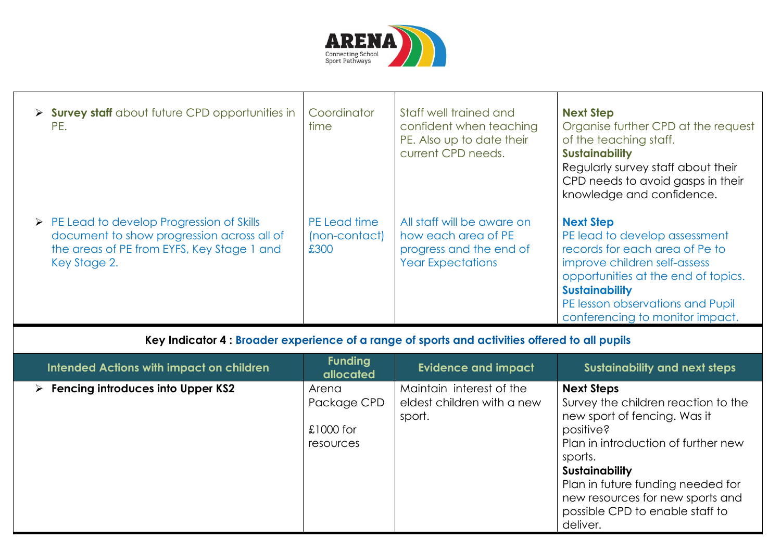

| > Survey staff about future CPD opportunities in<br>PE.                                                                                                               | Coordinator<br>time                   | Staff well trained and<br>confident when teaching<br>PE. Also up to date their<br>current CPD needs.     | <b>Next Step</b><br>Organise further CPD at the request<br>of the teaching staff.<br><b>Sustainability</b><br>Regularly survey staff about their<br>CPD needs to avoid gasps in their<br>knowledge and confidence.                                         |
|-----------------------------------------------------------------------------------------------------------------------------------------------------------------------|---------------------------------------|----------------------------------------------------------------------------------------------------------|------------------------------------------------------------------------------------------------------------------------------------------------------------------------------------------------------------------------------------------------------------|
| $\triangleright$ PE Lead to develop Progression of Skills<br>document to show progression across all of<br>the areas of PE from EYFS, Key Stage 1 and<br>Key Stage 2. | PE Lead time<br>(non-contact)<br>£300 | All staff will be aware on<br>how each area of PE<br>progress and the end of<br><b>Year Expectations</b> | <b>Next Step</b><br>PE lead to develop assessment<br>records for each area of Pe to<br>improve children self-assess<br>opportunities at the end of topics.<br><b>Sustainability</b><br>PE lesson observations and Pupil<br>conferencing to monitor impact. |

# **Key Indicator 4 : Broader experience of a range of sports and activities offered to all pupils**

| Intended Actions with impact on children           | <b>Funding</b><br>allocated                      | <b>Evidence and impact</b>                                       | <b>Sustainability and next steps</b>                                                                                                                                                                                                                                                                     |
|----------------------------------------------------|--------------------------------------------------|------------------------------------------------------------------|----------------------------------------------------------------------------------------------------------------------------------------------------------------------------------------------------------------------------------------------------------------------------------------------------------|
| $\triangleright$ Fencing introduces into Upper KS2 | Arena<br>Package CPD<br>$£1000$ for<br>resources | Maintain interest of the<br>eldest children with a new<br>sport. | <b>Next Steps</b><br>Survey the children reaction to the<br>new sport of fencing. Was it<br>positive?<br>Plan in introduction of further new<br>sports.<br><b>Sustainability</b><br>Plan in future funding needed for<br>new resources for new sports and<br>possible CPD to enable staff to<br>deliver. |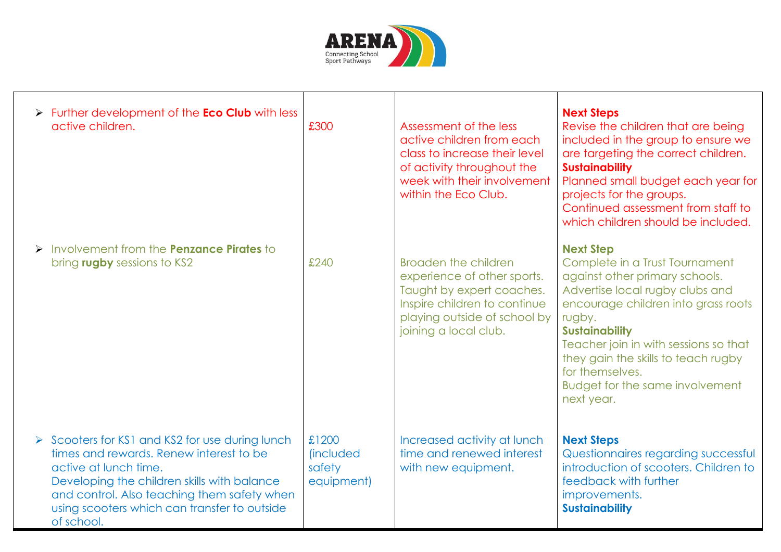

| $\triangleright$ Further development of the <b>Eco Club</b> with less<br>active children.                                                                                                                                                                                       | £300                                               | Assessment of the less<br>active children from each<br>class to increase their level<br>of activity throughout the<br>week with their involvement<br>within the Eco Club.        | <b>Next Steps</b><br>Revise the children that are being<br>included in the group to ensure we<br>are targeting the correct children.<br><b>Sustainability</b><br>Planned small budget each year for<br>projects for the groups.<br>Continued assessment from staff to<br>which children should be included.                                           |
|---------------------------------------------------------------------------------------------------------------------------------------------------------------------------------------------------------------------------------------------------------------------------------|----------------------------------------------------|----------------------------------------------------------------------------------------------------------------------------------------------------------------------------------|-------------------------------------------------------------------------------------------------------------------------------------------------------------------------------------------------------------------------------------------------------------------------------------------------------------------------------------------------------|
| > Involvement from the <b>Penzance Pirates</b> to<br>bring rugby sessions to KS2                                                                                                                                                                                                | £240                                               | <b>Broaden the children</b><br>experience of other sports.<br>Taught by expert coaches.<br>Inspire children to continue<br>playing outside of school by<br>joining a local club. | <b>Next Step</b><br>Complete in a Trust Tournament<br>against other primary schools.<br>Advertise local rugby clubs and<br>encourage children into grass roots<br>rugby.<br><b>Sustainability</b><br>Teacher join in with sessions so that<br>they gain the skills to teach rugby<br>for themselves.<br>Budget for the same involvement<br>next year. |
| > Scooters for KS1 and KS2 for use during lunch<br>times and rewards. Renew interest to be<br>active at lunch time.<br>Developing the children skills with balance<br>and control. Also teaching them safety when<br>using scooters which can transfer to outside<br>of school. | £1200<br><i>(included)</i><br>safety<br>equipment) | Increased activity at lunch<br>time and renewed interest<br>with new equipment.                                                                                                  | <b>Next Steps</b><br>Questionnaires regarding successful<br>introduction of scooters. Children to<br>feedback with further<br>improvements.<br><b>Sustainability</b>                                                                                                                                                                                  |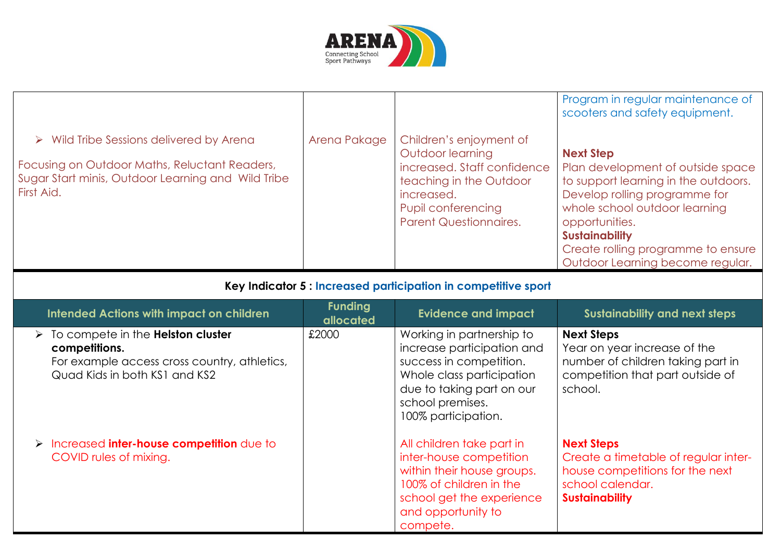

| $\triangleright$ Wild Tribe Sessions delivered by Arena<br>Focusing on Outdoor Maths, Reluctant Readers,<br>Sugar Start minis, Outdoor Learning and Wild Tribe<br>First Aid. | Arena Pakage                | Children's enjoyment of<br>Outdoor learning<br>increased. Staff confidence<br>teaching in the Outdoor<br>increased.<br>Pupil conferencing<br><b>Parent Questionnaires.</b>              | Program in regular maintenance of<br>scooters and safety equipment.<br><b>Next Step</b><br>Plan development of outside space<br>to support learning in the outdoors.<br>Develop rolling programme for<br>whole school outdoor learning<br>opportunities.<br><b>Sustainability</b><br>Create rolling programme to ensure |  |  |
|------------------------------------------------------------------------------------------------------------------------------------------------------------------------------|-----------------------------|-----------------------------------------------------------------------------------------------------------------------------------------------------------------------------------------|-------------------------------------------------------------------------------------------------------------------------------------------------------------------------------------------------------------------------------------------------------------------------------------------------------------------------|--|--|
| Outdoor Learning become regular.<br>Key Indicator 5 : Increased participation in competitive sport                                                                           |                             |                                                                                                                                                                                         |                                                                                                                                                                                                                                                                                                                         |  |  |
| <b>Intended Actions with impact on children</b>                                                                                                                              | <b>Funding</b><br>allocated | <b>Evidence and impact</b>                                                                                                                                                              | <b>Sustainability and next steps</b>                                                                                                                                                                                                                                                                                    |  |  |
| $\triangleright$ To compete in the <b>Helston cluster</b><br>competitions.<br>For example access cross country, athletics,<br>Quad Kids in both KS1 and KS2                  | £2000                       | Working in partnership to<br>increase participation and<br>success in competition.<br>Whole class participation<br>due to taking part on our<br>school premises.<br>100% participation. | <b>Next Steps</b><br>Year on year increase of the<br>number of children taking part in<br>competition that part outside of<br>school.                                                                                                                                                                                   |  |  |
| > Increased inter-house competition due to<br>COVID rules of mixing.                                                                                                         |                             | All children take part in<br>inter-house competition<br>within their house groups.<br>100% of children in the<br>school get the experience<br>and opportunity to<br>compete.            | <b>Next Steps</b><br>Create a timetable of regular inter-<br>house competitions for the next<br>school calendar.<br><b>Sustainability</b>                                                                                                                                                                               |  |  |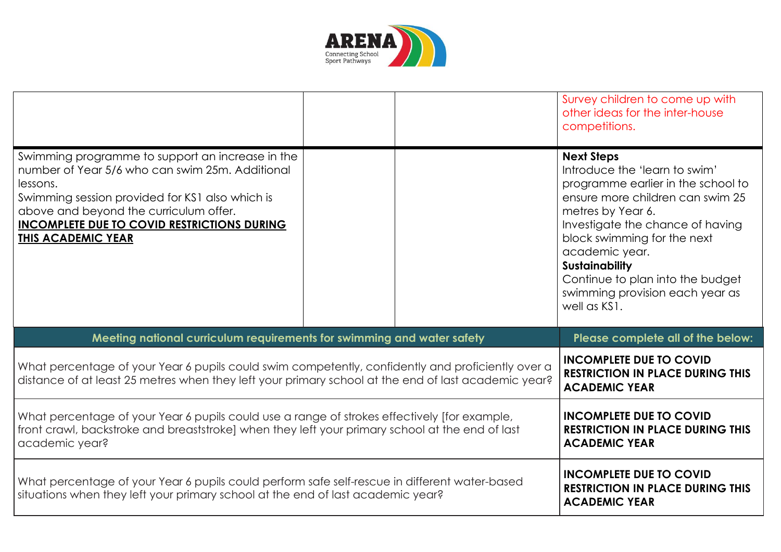

|                                                                                                                                                                                                                                                                                          |                                                                                                   | Survey children to come up with<br>other ideas for the inter-house<br>competitions.                                                                                                                                                                                                                                                                    |
|------------------------------------------------------------------------------------------------------------------------------------------------------------------------------------------------------------------------------------------------------------------------------------------|---------------------------------------------------------------------------------------------------|--------------------------------------------------------------------------------------------------------------------------------------------------------------------------------------------------------------------------------------------------------------------------------------------------------------------------------------------------------|
| Swimming programme to support an increase in the<br>number of Year 5/6 who can swim 25m. Additional<br>lessons.<br>Swimming session provided for KS1 also which is<br>above and beyond the curriculum offer.<br><b>INCOMPLETE DUE TO COVID RESTRICTIONS DURING</b><br>THIS ACADEMIC YEAR |                                                                                                   | <b>Next Steps</b><br>Introduce the 'learn to swim'<br>programme earlier in the school to<br>ensure more children can swim 25<br>metres by Year 6.<br>Investigate the chance of having<br>block swimming for the next<br>academic year.<br><b>Sustainability</b><br>Continue to plan into the budget<br>swimming provision each year as<br>well as KS1. |
| Meeting national curriculum requirements for swimming and water safety                                                                                                                                                                                                                   |                                                                                                   | Please complete all of the below:                                                                                                                                                                                                                                                                                                                      |
| What percentage of your Year 6 pupils could swim competently, confidently and proficiently over a<br>distance of at least 25 metres when they left your primary school at the end of last academic year?                                                                                 | <b>INCOMPLETE DUE TO COVID</b><br><b>RESTRICTION IN PLACE DURING THIS</b><br><b>ACADEMIC YEAR</b> |                                                                                                                                                                                                                                                                                                                                                        |
| What percentage of your Year 6 pupils could use a range of strokes effectively [for example,<br>front crawl, backstroke and breaststroke] when they left your primary school at the end of last<br>academic year?                                                                        | <b>INCOMPLETE DUE TO COVID</b><br><b>RESTRICTION IN PLACE DURING THIS</b><br><b>ACADEMIC YEAR</b> |                                                                                                                                                                                                                                                                                                                                                        |
| What percentage of your Year 6 pupils could perform safe self-rescue in different water-based<br>situations when they left your primary school at the end of last academic year?                                                                                                         | <b>INCOMPLETE DUE TO COVID</b><br><b>RESTRICTION IN PLACE DURING THIS</b><br><b>ACADEMIC YEAR</b> |                                                                                                                                                                                                                                                                                                                                                        |